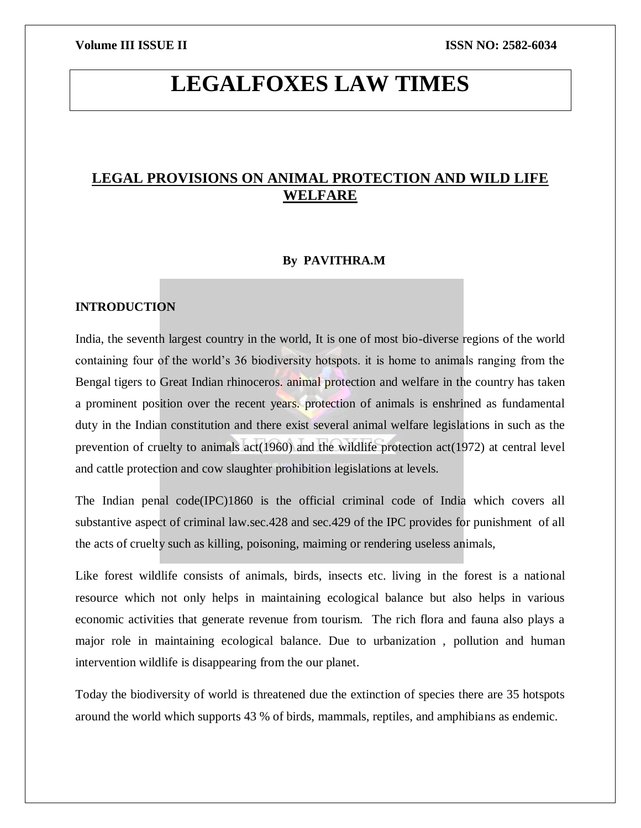# **LEGALFOXES LAW TIMES**

# **LEGAL PROVISIONS ON ANIMAL PROTECTION AND WILD LIFE WELFARE**

# **By PAVITHRA.M**

# **INTRODUCTION**

India, the seventh largest country in the world, It is one of most bio-diverse regions of the world containing four of the world's 36 biodiversity hotspots. it is home to animals ranging from the Bengal tigers to Great Indian rhinoceros. animal protection and welfare in the country has taken a prominent position over the recent years. protection of animals is enshrined as fundamental duty in the Indian constitution and there exist several animal welfare legislations in such as the prevention of cruelty to animals act(1960) and the wildlife protection act(1972) at central level and cattle protection and cow slaughter prohibition legislations at levels.

The Indian penal code(IPC)1860 is the official criminal code of India which covers all substantive aspect of criminal law.sec.428 and sec.429 of the IPC provides for punishment of all the acts of cruelty such as killing, poisoning, maiming or rendering useless animals,

Like forest wildlife consists of animals, birds, insects etc. living in the forest is a national resource which not only helps in maintaining ecological balance but also helps in various economic activities that generate revenue from tourism. The rich flora and fauna also plays a major role in maintaining ecological balance. Due to urbanization , pollution and human intervention wildlife is disappearing from the our planet.

Today the biodiversity of world is threatened due the extinction of species there are 35 hotspots around the world which supports 43 % of birds, mammals, reptiles, and amphibians as endemic.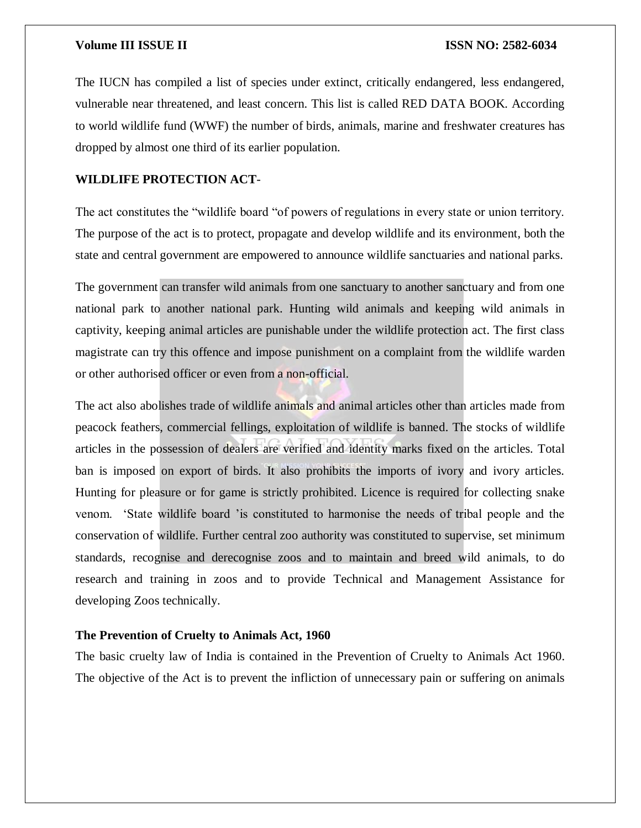The IUCN has compiled a list of species under extinct, critically endangered, less endangered, vulnerable near threatened, and least concern. This list is called RED DATA BOOK. According to world wildlife fund (WWF) the number of birds, animals, marine and freshwater creatures has dropped by almost one third of its earlier population.

# **WILDLIFE PROTECTION ACT**-

The act constitutes the "wildlife board "of powers of regulations in every state or union territory. The purpose of the act is to protect, propagate and develop wildlife and its environment, both the state and central government are empowered to announce wildlife sanctuaries and national parks.

The government can transfer wild animals from one sanctuary to another sanctuary and from one national park to another national park. Hunting wild animals and keeping wild animals in captivity, keeping animal articles are punishable under the wildlife protection act. The first class magistrate can try this offence and impose punishment on a complaint from the wildlife warden or other authorised officer or even from a non-official.

The act also abolishes trade of wildlife animals and animal articles other than articles made from peacock feathers, commercial fellings, exploitation of wildlife is banned. The stocks of wildlife articles in the possession of dealers are verified and identity marks fixed on the articles. Total ban is imposed on export of birds. It also prohibits the imports of ivory and ivory articles. Hunting for pleasure or for game is strictly prohibited. Licence is required for collecting snake venom. 'State wildlife board 'is constituted to harmonise the needs of tribal people and the conservation of wildlife. Further central zoo authority was constituted to supervise, set minimum standards, recognise and derecognise zoos and to maintain and breed wild animals, to do research and training in zoos and to provide Technical and Management Assistance for developing Zoos technically.

### **The Prevention of Cruelty to Animals Act, 1960**

The basic cruelty law of India is contained in the Prevention of Cruelty to Animals Act 1960. The objective of the Act is to prevent the infliction of unnecessary pain or suffering on animals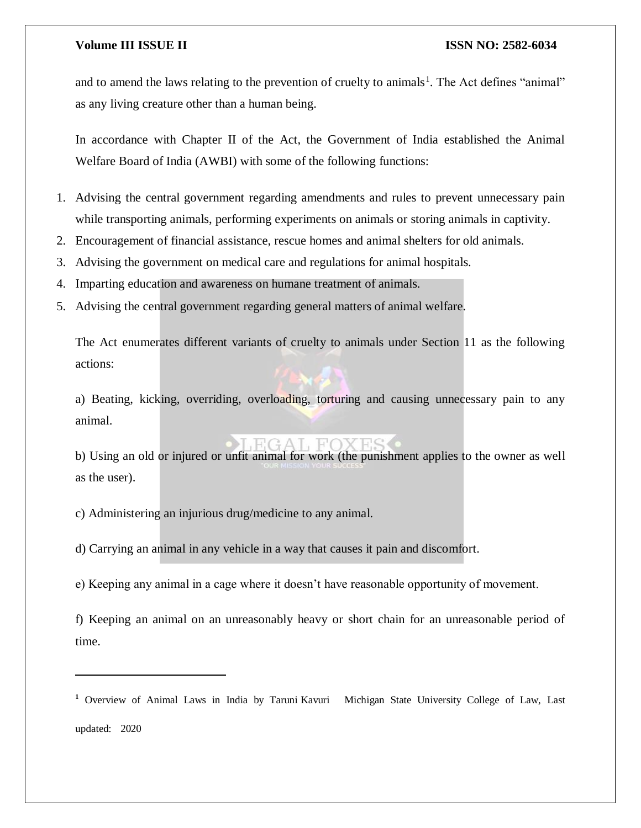and to amend the laws relating to the prevention of cruelty to animals<sup>1</sup>. The Act defines "animal" as any living creature other than a human being.

In accordance with Chapter II of the Act, the Government of India established the Animal Welfare Board of India (AWBI) with some of the following functions:

- 1. Advising the central government regarding amendments and rules to prevent unnecessary pain while transporting animals, performing experiments on animals or storing animals in captivity.
- 2. Encouragement of financial assistance, rescue homes and animal shelters for old animals.
- 3. Advising the government on medical care and regulations for animal hospitals.
- 4. Imparting education and awareness on humane treatment of animals.
- 5. Advising the central government regarding general matters of animal welfare.

The Act enumerates different variants of cruelty to animals under Section 11 as the following actions:

a) Beating, kicking, overriding, overloading, torturing and causing unnecessary pain to any animal.

b) Using an old or injured or unfit animal for work (the punishment applies to the owner as well as the user).

c) Administering an injurious drug/medicine to any animal.

 $\overline{\phantom{a}}$ 

d) Carrying an animal in any vehicle in a way that causes it pain and discomfort.

e) Keeping any animal in a cage where it doesn't have reasonable opportunity of movement.

f) Keeping an animal on an unreasonably heavy or short chain for an unreasonable period of time.

**<sup>1</sup>** Overview of Animal Laws in India by Taruni Kavuri Michigan State University College of Law, Last updated: 2020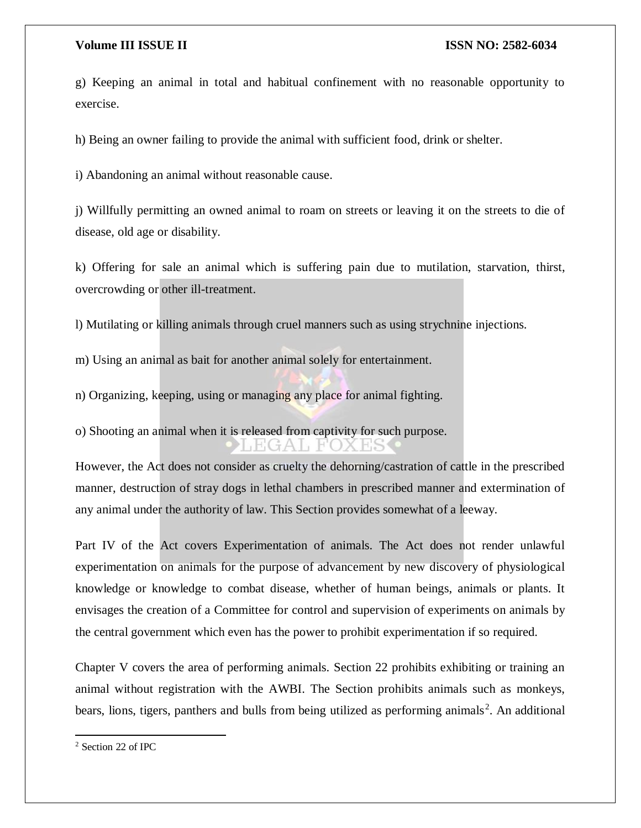g) Keeping an animal in total and habitual confinement with no reasonable opportunity to exercise.

h) Being an owner failing to provide the animal with sufficient food, drink or shelter.

i) Abandoning an animal without reasonable cause.

j) Willfully permitting an owned animal to roam on streets or leaving it on the streets to die of disease, old age or disability.

k) Offering for sale an animal which is suffering pain due to mutilation, starvation, thirst, overcrowding or other ill-treatment.

l) Mutilating or killing animals through cruel manners such as using strychnine injections.

m) Using an animal as bait for another animal solely for entertainment.

n) Organizing, keeping, using or managing any place for animal fighting.

o) Shooting an animal when it is released from captivity for such purpose.

However, the Act does not consider as cruelty the dehorning/castration of cattle in the prescribed manner, destruction of stray dogs in lethal chambers in prescribed manner and extermination of any animal under the authority of law. This Section provides somewhat of a leeway.

Part IV of the Act covers Experimentation of animals. The Act does not render unlawful experimentation on animals for the purpose of advancement by new discovery of physiological knowledge or knowledge to combat disease, whether of human beings, animals or plants. It envisages the creation of a Committee for control and supervision of experiments on animals by the central government which even has the power to prohibit experimentation if so required.

Chapter V covers the area of performing animals. Section 22 prohibits exhibiting or training an animal without registration with the AWBI. The Section prohibits animals such as monkeys, bears, lions, tigers, panthers and bulls from being utilized as performing animals<sup>2</sup>. An additional

 $\overline{a}$ 

<sup>2</sup> Section 22 of IPC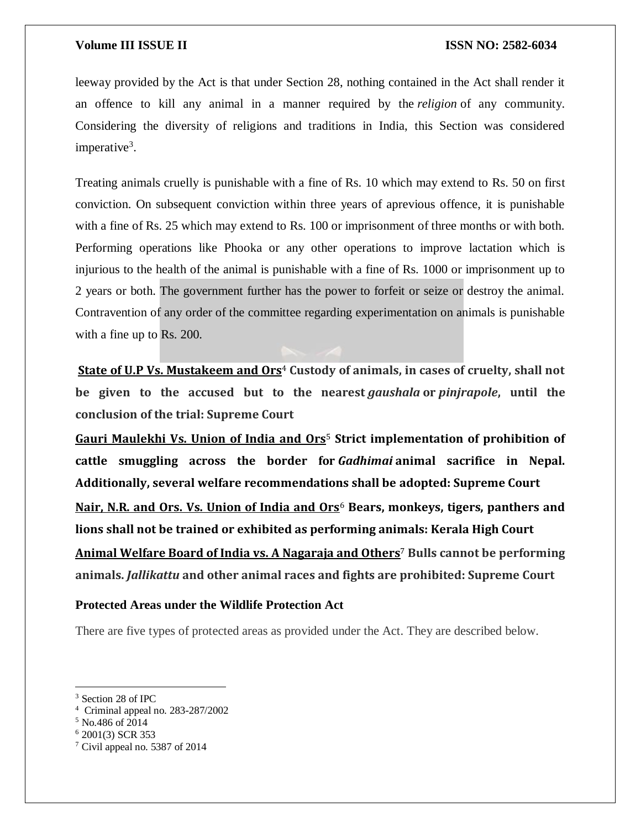leeway provided by the Act is that under Section 28, nothing contained in the Act shall render it an offence to kill any animal in a manner required by the *religion* of any community. Considering the diversity of religions and traditions in India, this Section was considered imperative<sup>3</sup>.

Treating animals cruelly is punishable with a fine of Rs. 10 which may extend to Rs. 50 on first conviction. On subsequent conviction within three years of aprevious offence, it is punishable with a fine of Rs. 25 which may extend to Rs. 100 or imprisonment of three months or with both. Performing operations like Phooka or any other operations to improve lactation which is injurious to the health of the animal is punishable with a fine of Rs. 1000 or imprisonment up to 2 years or both. The government further has the power to forfeit or seize or destroy the animal. Contravention of any order of the committee regarding experimentation on animals is punishable with a fine up to Rs. 200.

**[State of U.P Vs. Mustakeem and Ors](http://khabar.uttara-khand.com/news_detail.php?nid=8788)<sup>4</sup> Custody of animals, in cases of cruelty, shall not be given to the accused but to the nearest** *gaushala* **or** *pinjrapole***, until the conclusion of the trial: Supreme Court**

**[Gauri Maulekhi Vs. Union of India and Ors](http://www.hsi.org/world/india/news/releases/2014/10/india-supreme-court-gadhimai-ruling-102014.html?referrer=https://www.google.co.in/)**<sup>5</sup> **Strict implementation of prohibition of cattle smuggling across the border for** *Gadhimai* **animal sacrifice in Nepal. Additionally, several welfare recommendations shall be adopted: Supreme Court [Nair, N.R. and Ors. Vs. Union of India and Ors](https://indiankanoon.org/doc/936999/)**<sup>6</sup> **Bears, monkeys, tigers, panthers and lions shall not be trained or exhibited as performing animals: Kerala High Court [Animal Welfare Board of India vs. A Nagaraja and Others](http://supremecourtofindia.nic.in/outtoday/sc1168607.pdf)**<sup>7</sup> **Bulls cannot be performing animals.** *Jallikattu* **and other animal races and fights are prohibited: Supreme Court**

### **Protected Areas under the Wildlife Protection Act**

There are five types of protected areas as provided under the Act. They are described below.

 $\overline{\phantom{a}}$ 

<sup>3</sup> Section 28 of IPC

<sup>4</sup> Criminal appeal no. 283-287/2002

<sup>5</sup> No.486 of 2014

<sup>6</sup> 2001(3) SCR 353

<sup>7</sup> Civil appeal no. 5387 of 2014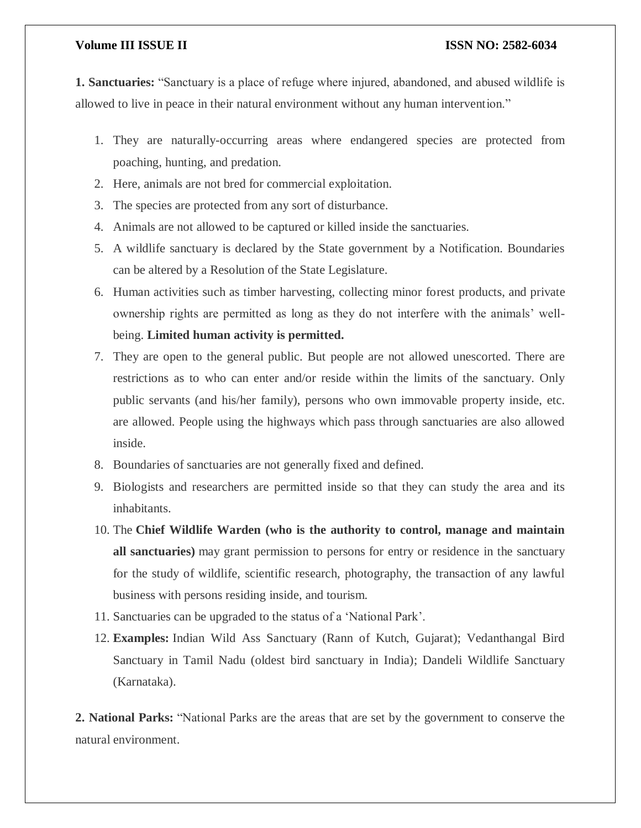**1. Sanctuaries:** "Sanctuary is a place of refuge where injured, abandoned, and abused wildlife is allowed to live in peace in their natural environment without any human intervention."

- 1. They are naturally-occurring areas where endangered species are protected from poaching, hunting, and predation.
- 2. Here, animals are not bred for commercial exploitation.
- 3. The species are protected from any sort of disturbance.
- 4. Animals are not allowed to be captured or killed inside the sanctuaries.
- 5. A wildlife sanctuary is declared by the State government by a Notification. Boundaries can be altered by a Resolution of the State Legislature.
- 6. Human activities such as timber harvesting, collecting minor forest products, and private ownership rights are permitted as long as they do not interfere with the animals' wellbeing. **Limited human activity is permitted.**
- 7. They are open to the general public. But people are not allowed unescorted. There are restrictions as to who can enter and/or reside within the limits of the sanctuary. Only public servants (and his/her family), persons who own immovable property inside, etc. are allowed. People using the highways which pass through sanctuaries are also allowed inside.
- 8. Boundaries of sanctuaries are not generally fixed and defined.
- 9. Biologists and researchers are permitted inside so that they can study the area and its inhabitants.
- 10. The **Chief Wildlife Warden (who is the authority to control, manage and maintain all sanctuaries)** may grant permission to persons for entry or residence in the sanctuary for the study of wildlife, scientific research, photography, the transaction of any lawful business with persons residing inside, and tourism.
- 11. Sanctuaries can be upgraded to the status of a 'National Park'.
- 12. **Examples:** Indian Wild Ass Sanctuary (Rann of Kutch, Gujarat); Vedanthangal Bird Sanctuary in Tamil Nadu (oldest bird sanctuary in India); Dandeli Wildlife Sanctuary (Karnataka).

**2. National Parks:** "National Parks are the areas that are set by the government to conserve the natural environment.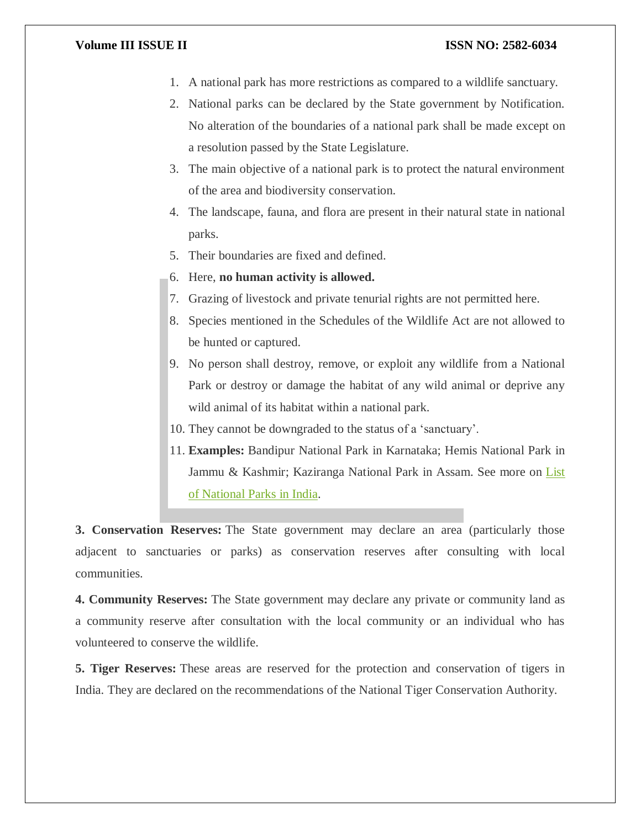- 1. A national park has more restrictions as compared to a wildlife sanctuary.
- 2. National parks can be declared by the State government by Notification. No alteration of the boundaries of a national park shall be made except on a resolution passed by the State Legislature.
- 3. The main objective of a national park is to protect the natural environment of the area and biodiversity conservation.
- 4. The landscape, fauna, and flora are present in their natural state in national parks.
- 5. Their boundaries are fixed and defined.
- 6. Here, **no human activity is allowed.**
- 7. Grazing of livestock and private tenurial rights are not permitted here.
- 8. Species mentioned in the Schedules of the Wildlife Act are not allowed to be hunted or captured.
- 9. No person shall destroy, remove, or exploit any wildlife from a National Park or destroy or damage the habitat of any wild animal or deprive any wild animal of its habitat within a national park.
- 10. They cannot be downgraded to the status of a 'sanctuary'.
- 11. **Examples:** Bandipur National Park in Karnataka; Hemis National Park in Jammu & Kashmir; Kaziranga National Park in Assam. See more on List [of National Parks in India.](https://byjus.com/free-ias-prep/list-national-parks-india/)

**3. Conservation Reserves:** The State government may declare an area (particularly those adjacent to sanctuaries or parks) as conservation reserves after consulting with local communities.

**4. Community Reserves:** The State government may declare any private or community land as a community reserve after consultation with the local community or an individual who has volunteered to conserve the wildlife.

**5. Tiger Reserves:** These areas are reserved for the protection and conservation of tigers in India. They are declared on the recommendations of the National Tiger Conservation Authority.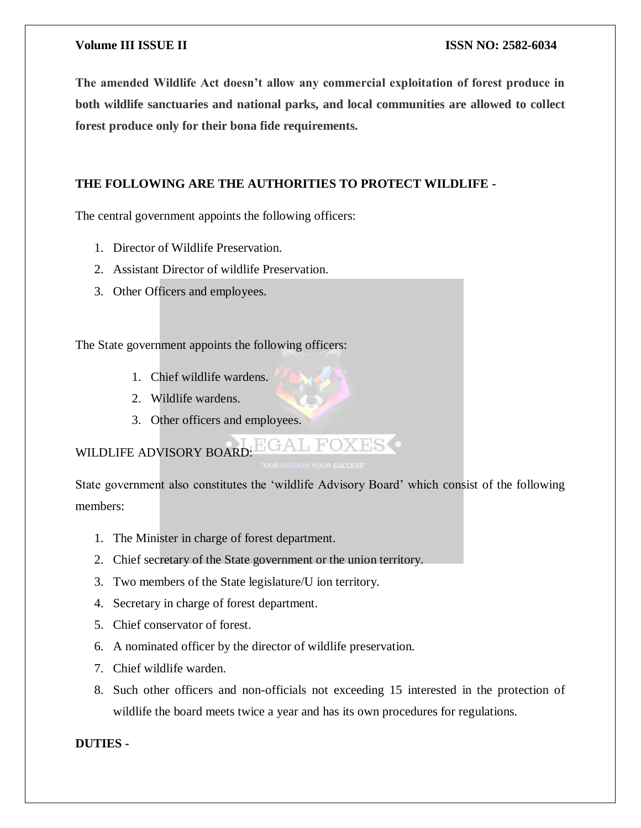**The amended Wildlife Act doesn't allow any commercial exploitation of forest produce in both wildlife sanctuaries and national parks, and local communities are allowed to collect forest produce only for their bona fide requirements.**

# **THE FOLLOWING ARE THE AUTHORITIES TO PROTECT WILDLIFE -**

The central government appoints the following officers:

- 1. Director of Wildlife Preservation.
- 2. Assistant Director of wildlife Preservation.
- 3. Other Officers and employees.

The State government appoints the following officers:

- 1. Chief wildlife wardens.
- 2. Wildlife wardens.
- 3. Other officers and employees.

#### **EGAL FOXESO** WILDLIFE ADVISORY BOARD:

State government also constitutes the 'wildlife Advisory Board' which consist of the following members:

- 1. The Minister in charge of forest department.
- 2. Chief secretary of the State government or the union territory.
- 3. Two members of the State legislature/U ion territory.
- 4. Secretary in charge of forest department.
- 5. Chief conservator of forest.
- 6. A nominated officer by the director of wildlife preservation.
- 7. Chief wildlife warden.
- 8. Such other officers and non-officials not exceeding 15 interested in the protection of wildlife the board meets twice a year and has its own procedures for regulations.

# **DUTIES -**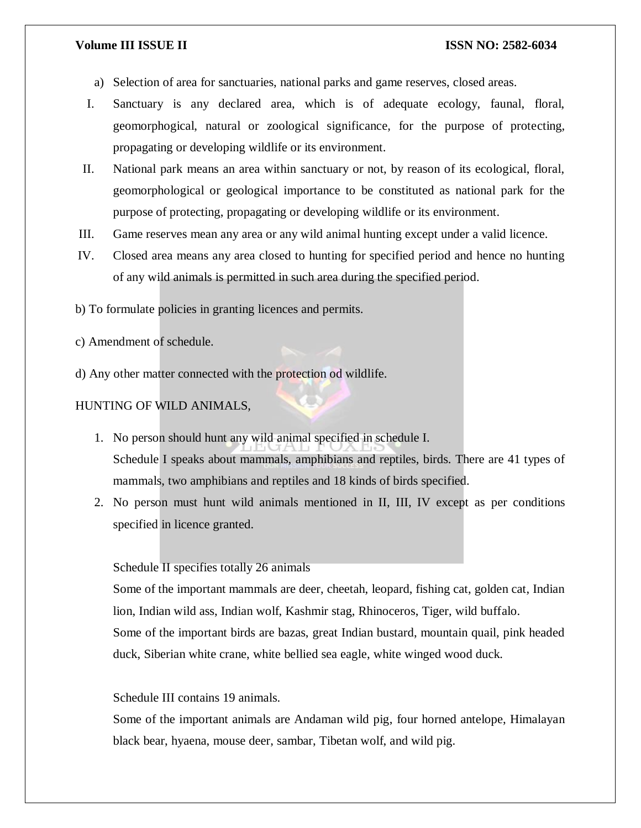- a) Selection of area for sanctuaries, national parks and game reserves, closed areas.
- I. Sanctuary is any declared area, which is of adequate ecology, faunal, floral, geomorphogical, natural or zoological significance, for the purpose of protecting, propagating or developing wildlife or its environment.
- II. National park means an area within sanctuary or not, by reason of its ecological, floral, geomorphological or geological importance to be constituted as national park for the purpose of protecting, propagating or developing wildlife or its environment.
- III. Game reserves mean any area or any wild animal hunting except under a valid licence.
- IV. Closed area means any area closed to hunting for specified period and hence no hunting of any wild animals is permitted in such area during the specified period.

b) To formulate policies in granting licences and permits.

c) Amendment of schedule.

d) Any other matter connected with the protection od wildlife.

#### HUNTING OF WILD ANIMALS,

- 1. No person should hunt any wild animal specified in schedule I. Schedule I speaks about mammals, amphibians and reptiles, birds. There are 41 types of mammals, two amphibians and reptiles and 18 kinds of birds specified.
- 2. No person must hunt wild animals mentioned in II, III, IV except as per conditions specified in licence granted.

#### Schedule II specifies totally 26 animals

Some of the important mammals are deer, cheetah, leopard, fishing cat, golden cat, Indian lion, Indian wild ass, Indian wolf, Kashmir stag, Rhinoceros, Tiger, wild buffalo. Some of the important birds are bazas, great Indian bustard, mountain quail, pink headed duck, Siberian white crane, white bellied sea eagle, white winged wood duck.

#### Schedule III contains 19 animals.

Some of the important animals are Andaman wild pig, four horned antelope, Himalayan black bear, hyaena, mouse deer, sambar, Tibetan wolf, and wild pig.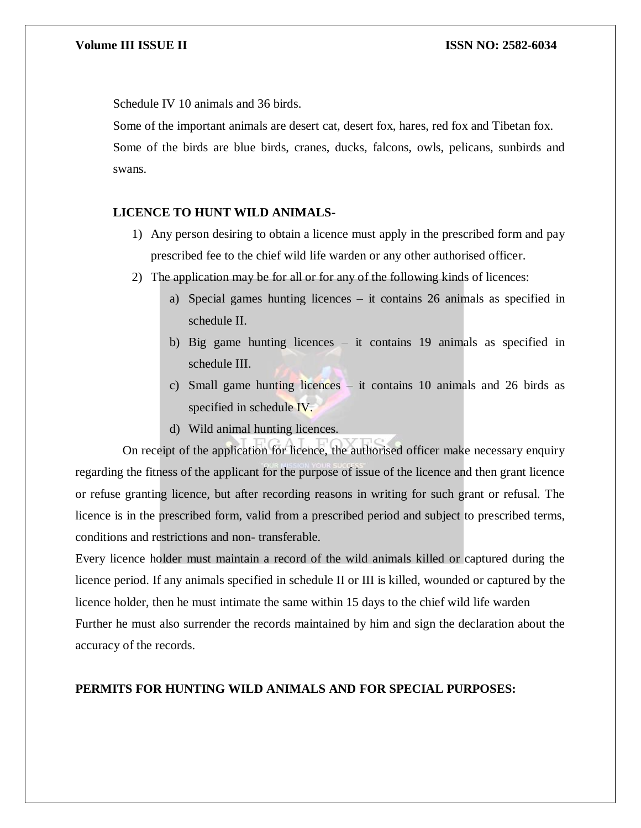Schedule IV 10 animals and 36 birds.

Some of the important animals are desert cat, desert fox, hares, red fox and Tibetan fox. Some of the birds are blue birds, cranes, ducks, falcons, owls, pelicans, sunbirds and swans.

# **LICENCE TO HUNT WILD ANIMALS-**

- 1) Any person desiring to obtain a licence must apply in the prescribed form and pay prescribed fee to the chief wild life warden or any other authorised officer.
- 2) The application may be for all or for any of the following kinds of licences:
	- a) Special games hunting licences it contains 26 animals as specified in schedule II.
	- b) Big game hunting licences it contains 19 animals as specified in schedule III.
	- c) Small game hunting licences it contains 10 animals and 26 birds as specified in schedule IV.
	- d) Wild animal hunting licences.

 On receipt of the application for licence, the authorised officer make necessary enquiry regarding the fitness of the applicant for the purpose of issue of the licence and then grant licence or refuse granting licence, but after recording reasons in writing for such grant or refusal. The licence is in the prescribed form, valid from a prescribed period and subject to prescribed terms, conditions and restrictions and non- transferable.

Every licence holder must maintain a record of the wild animals killed or captured during the licence period. If any animals specified in schedule II or III is killed, wounded or captured by the licence holder, then he must intimate the same within 15 days to the chief wild life warden Further he must also surrender the records maintained by him and sign the declaration about the accuracy of the records.

### **PERMITS FOR HUNTING WILD ANIMALS AND FOR SPECIAL PURPOSES:**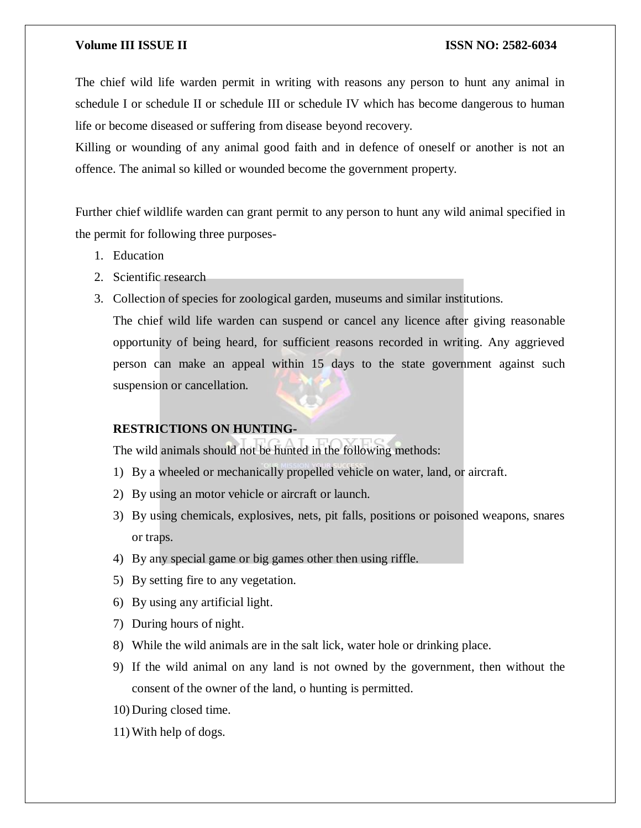The chief wild life warden permit in writing with reasons any person to hunt any animal in schedule I or schedule II or schedule III or schedule IV which has become dangerous to human life or become diseased or suffering from disease beyond recovery.

Killing or wounding of any animal good faith and in defence of oneself or another is not an offence. The animal so killed or wounded become the government property.

Further chief wildlife warden can grant permit to any person to hunt any wild animal specified in the permit for following three purposes-

- 1. Education
- 2. Scientific research
- 3. Collection of species for zoological garden, museums and similar institutions.

The chief wild life warden can suspend or cancel any licence after giving reasonable opportunity of being heard, for sufficient reasons recorded in writing. Any aggrieved person can make an appeal within 15 days to the state government against such suspension or cancellation.

### **RESTRICTIONS ON HUNTING-**

The wild animals should not be hunted in the following methods:

- 1) By a wheeled or mechanically propelled vehicle on water, land, or aircraft.
- 2) By using an motor vehicle or aircraft or launch.
- 3) By using chemicals, explosives, nets, pit falls, positions or poisoned weapons, snares or traps.
- 4) By any special game or big games other then using riffle.
- 5) By setting fire to any vegetation.
- 6) By using any artificial light.
- 7) During hours of night.
- 8) While the wild animals are in the salt lick, water hole or drinking place.
- 9) If the wild animal on any land is not owned by the government, then without the consent of the owner of the land, o hunting is permitted.
- 10) During closed time.
- 11) With help of dogs.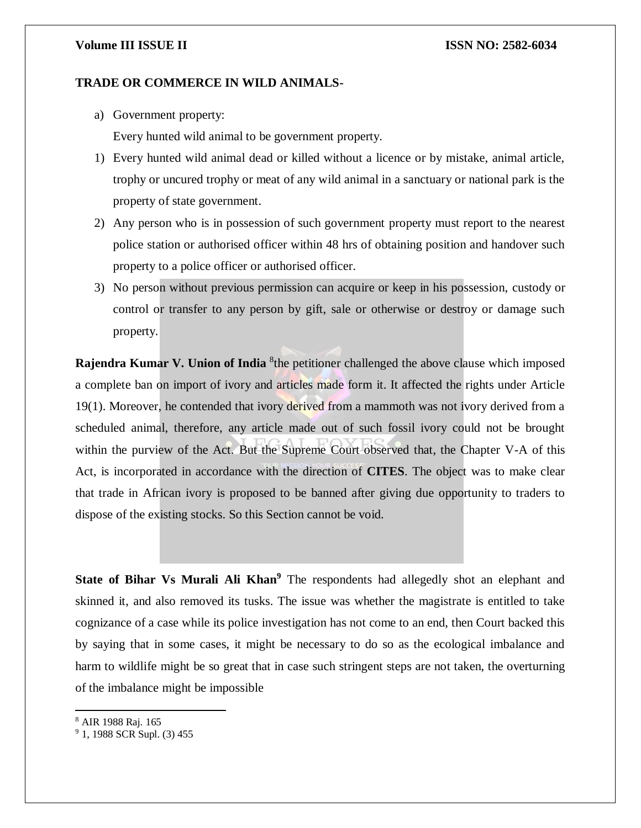#### **TRADE OR COMMERCE IN WILD ANIMALS-**

a) Government property:

Every hunted wild animal to be government property.

- 1) Every hunted wild animal dead or killed without a licence or by mistake, animal article, trophy or uncured trophy or meat of any wild animal in a sanctuary or national park is the property of state government.
- 2) Any person who is in possession of such government property must report to the nearest police station or authorised officer within 48 hrs of obtaining position and handover such property to a police officer or authorised officer.
- 3) No person without previous permission can acquire or keep in his possession, custody or control or transfer to any person by gift, sale or otherwise or destroy or damage such property.

**Rajendra Kumar V. Union of India** <sup>8</sup> the petitioner challenged the above clause which imposed a complete ban on import of ivory and articles made form it. It affected the rights under Article 19(1). Moreover, he contended that ivory derived from a mammoth was not ivory derived from a scheduled animal, therefore, any article made out of such fossil ivory could not be brought within the purview of the Act. But the Supreme Court observed that, the Chapter V-A of this Act, is incorporated in accordance with the direction of **CITES**. The object was to make clear that trade in African ivory is proposed to be banned after giving due opportunity to traders to dispose of the existing stocks. So this Section cannot be void.

**State of Bihar Vs Murali Ali Khan<sup>9</sup>** The respondents had allegedly shot an elephant and skinned it, and also removed its tusks. The issue was whether the magistrate is entitled to take cognizance of a case while its police investigation has not come to an end, then Court backed this by saying that in some cases, it might be necessary to do so as the ecological imbalance and harm to wildlife might be so great that in case such stringent steps are not taken, the overturning of the imbalance might be impossible

<sup>8</sup> AIR 1988 Raj. 165

 $\overline{a}$ 

<sup>&</sup>lt;sup>9</sup> 1, 1988 SCR Supl. (3) 455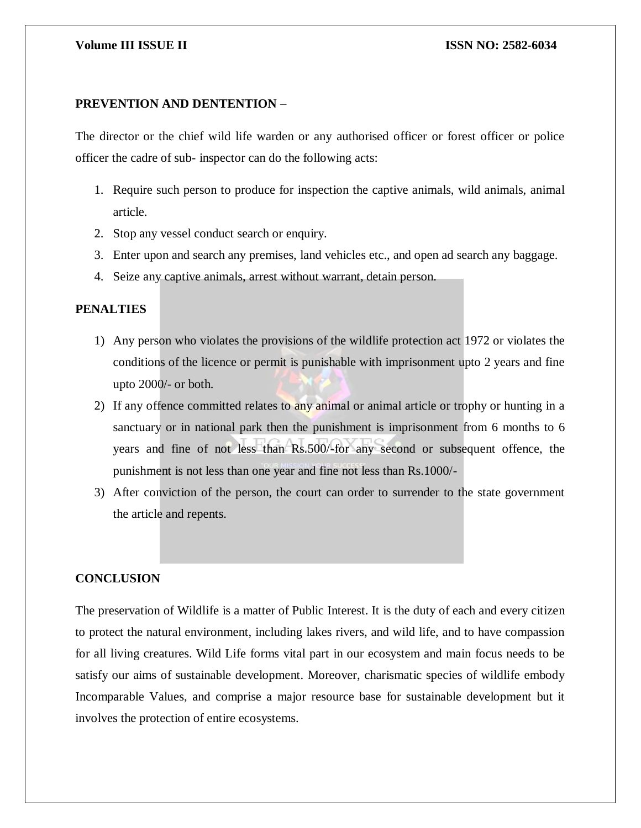# **PREVENTION AND DENTENTION** –

The director or the chief wild life warden or any authorised officer or forest officer or police officer the cadre of sub- inspector can do the following acts:

- 1. Require such person to produce for inspection the captive animals, wild animals, animal article.
- 2. Stop any vessel conduct search or enquiry.
- 3. Enter upon and search any premises, land vehicles etc., and open ad search any baggage.
- 4. Seize any captive animals, arrest without warrant, detain person.

### **PENALTIES**

- 1) Any person who violates the provisions of the wildlife protection act 1972 or violates the conditions of the licence or permit is punishable with imprisonment upto 2 years and fine upto 2000/- or both.
- 2) If any offence committed relates to any animal or animal article or trophy or hunting in a sanctuary or in national park then the punishment is imprisonment from 6 months to 6 years and fine of not less than Rs.500/-for any second or subsequent offence, the punishment is not less than one year and fine not less than Rs.1000/-
- 3) After conviction of the person, the court can order to surrender to the state government the article and repents.

### **CONCLUSION**

The preservation of Wildlife is a matter of Public Interest. It is the duty of each and every citizen to protect the natural environment, including lakes rivers, and wild life, and to have compassion for all living creatures. Wild Life forms vital part in our ecosystem and main focus needs to be satisfy our aims of sustainable development. Moreover, charismatic species of wildlife embody Incomparable Values, and comprise a major resource base for sustainable development but it involves the protection of entire ecosystems.